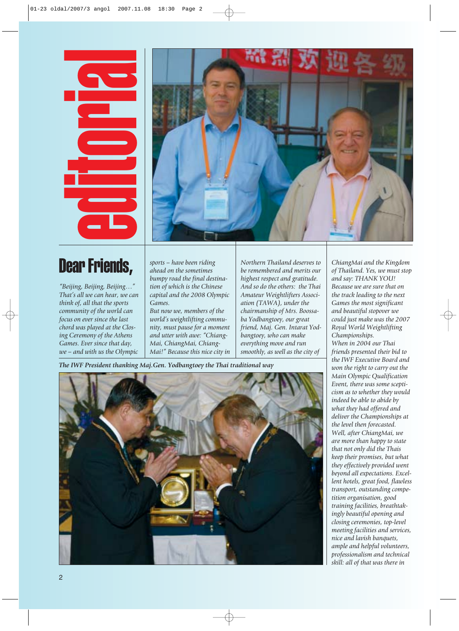## Dear Friends,



*"Beijing, Beijing, Beijing…" That's all we can hear, we can think of, all that the sports community of the world can focus on ever since the last chord was played at the Closing Ceremony of the Athens Games. Ever since that day, we – and with us the Olympic* *sports – have been riding ahead on the sometimes bumpy road the final destination of which is the Chinese capital and the 2008 Olympic Games.*

*But now we, members of the world's weightlifting community, must pause for a moment and utter with awe: "Chiang-Mai, ChiangMai, Chiang-Mai!" Because this nice city in* *Northern Thailand deserves to be remembered and merits our highest respect and gratitude. And so do the others: the Thai Amateur Weightlifters Association (TAWA), under the chairmanship of Mrs. Boossaba Yodbangtoey, our great friend, Maj. Gen. Intarat Yodbangtoey, who can make everything move and run smoothly, as well as the city of*

*The IWF President thanking Maj.Gen. Yodbangtoey the Thai traditional way*



*ChiangMai and the Kingdom of Thailand. Yes, we must stop and say: THANK YOU! Because we are sure that on the track leading to the next Games the most significant and beautiful stopover we could just make was the 2007 Royal World Weightlifting Championships. When in 2004 our Thai friends presented their bid to the IWF Executive Board and won the right to carry out the Main Olympic Qualification Event, there was some scepticism as to whether they would indeed be able to abide by what they had offered and deliver the Championships at the level then forecasted. Well, after ChiangMai, we are more than happy to state that not only did the Thais keep their promises, but what they effectively provided went beyond all expectations. Excellent hotels, great food, flawless transport, outstanding competition organisation, good training facilities, breathtakingly beautiful opening and closing ceremonies, top-level meeting facilities and services, nice and lavish banquets, ample and helpful volunteers, professionalism and technical skill: all of that was there in*